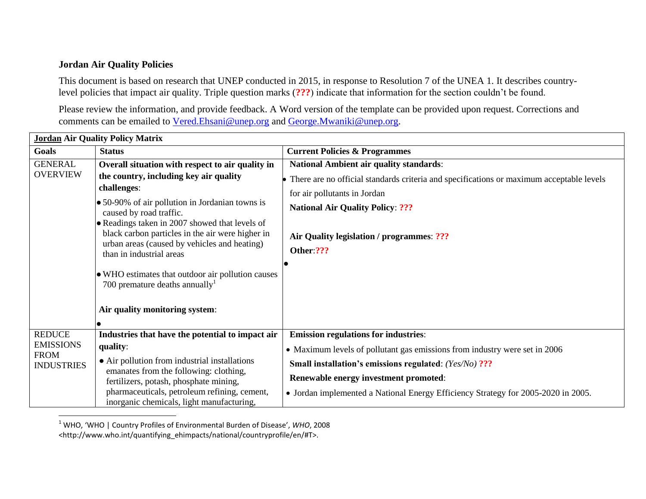## **Jordan Air Quality Policies**

l

This document is based on research that UNEP conducted in 2015, in response to Resolution 7 of the UNEA 1. It describes countrylevel policies that impact air quality. Triple question marks (**???**) indicate that information for the section couldn't be found.

Please review the information, and provide feedback. A Word version of the template can be provided upon request. Corrections and comments can be emailed to [Vered.Ehsani@unep.org](mailto:Vered.Ehsani@unep.org) and [George.Mwaniki@unep.org.](mailto:George.Mwaniki@unep.org)

| <b>Jordan Air Quality Policy Matrix</b>                               |                                                                                                  |                                                                                          |  |
|-----------------------------------------------------------------------|--------------------------------------------------------------------------------------------------|------------------------------------------------------------------------------------------|--|
| Goals                                                                 | <b>Status</b>                                                                                    | <b>Current Policies &amp; Programmes</b>                                                 |  |
| <b>GENERAL</b>                                                        | Overall situation with respect to air quality in                                                 | <b>National Ambient air quality standards:</b>                                           |  |
| <b>OVERVIEW</b>                                                       | the country, including key air quality<br>challenges:                                            | There are no official standards criteria and specifications or maximum acceptable levels |  |
|                                                                       | $\bullet$ 50-90% of air pollution in Jordanian towns is                                          | for air pollutants in Jordan                                                             |  |
|                                                                       | caused by road traffic.                                                                          | <b>National Air Quality Policy: ???</b>                                                  |  |
|                                                                       | • Readings taken in 2007 showed that levels of                                                   |                                                                                          |  |
|                                                                       | black carbon particles in the air were higher in<br>urban areas (caused by vehicles and heating) | Air Quality legislation / programmes: ???                                                |  |
|                                                                       | than in industrial areas                                                                         | Other:???                                                                                |  |
|                                                                       | • WHO estimates that outdoor air pollution causes<br>700 premature deaths annually               |                                                                                          |  |
|                                                                       | Air quality monitoring system:                                                                   |                                                                                          |  |
|                                                                       |                                                                                                  |                                                                                          |  |
| <b>REDUCE</b><br><b>EMISSIONS</b><br><b>FROM</b><br><b>INDUSTRIES</b> | Industries that have the potential to impact air                                                 | <b>Emission regulations for industries:</b>                                              |  |
|                                                                       | quality:                                                                                         | • Maximum levels of pollutant gas emissions from industry were set in 2006               |  |
|                                                                       | • Air pollution from industrial installations<br>emanates from the following: clothing,          | Small installation's emissions regulated: (Yes/No) ???                                   |  |
|                                                                       | fertilizers, potash, phosphate mining,                                                           | Renewable energy investment promoted:                                                    |  |
|                                                                       | pharmaceuticals, petroleum refining, cement,<br>inorganic chemicals, light manufacturing,        | • Jordan implemented a National Energy Efficiency Strategy for 2005-2020 in 2005.        |  |

<sup>1</sup> WHO, 'WHO | Country Profiles of Environmental Burden of Disease', *WHO*, 2008

<sup>&</sup>lt;http://www.who.int/quantifying\_ehimpacts/national/countryprofile/en/#T>.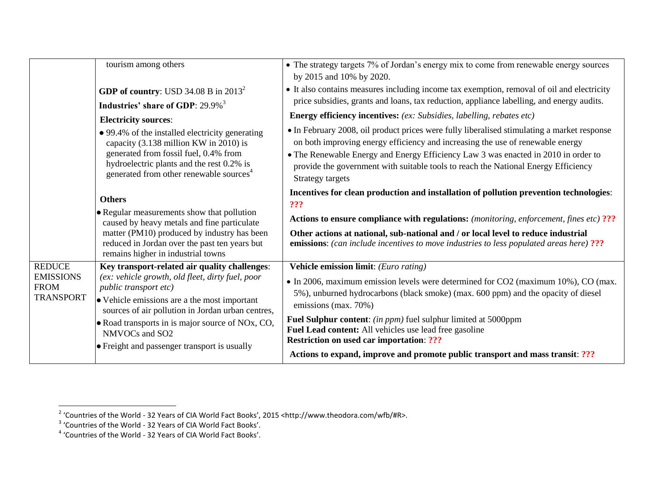|                                                                      | tourism among others                                                                                                                                                                                                                                                                                                                                                                                                                                                                                                      | • The strategy targets 7% of Jordan's energy mix to come from renewable energy sources<br>by 2015 and 10% by 2020.                                                                                                                                                                                                                                                                                                                                                                                                                                                                                                                                                                                                                                    |
|----------------------------------------------------------------------|---------------------------------------------------------------------------------------------------------------------------------------------------------------------------------------------------------------------------------------------------------------------------------------------------------------------------------------------------------------------------------------------------------------------------------------------------------------------------------------------------------------------------|-------------------------------------------------------------------------------------------------------------------------------------------------------------------------------------------------------------------------------------------------------------------------------------------------------------------------------------------------------------------------------------------------------------------------------------------------------------------------------------------------------------------------------------------------------------------------------------------------------------------------------------------------------------------------------------------------------------------------------------------------------|
|                                                                      | <b>GDP of country:</b> USD 34.08 B in $2013^2$<br>Industries' share of GDP: 29.9% <sup>3</sup>                                                                                                                                                                                                                                                                                                                                                                                                                            | • It also contains measures including income tax exemption, removal of oil and electricity<br>price subsidies, grants and loans, tax reduction, appliance labelling, and energy audits.                                                                                                                                                                                                                                                                                                                                                                                                                                                                                                                                                               |
|                                                                      | <b>Electricity sources:</b><br>• 99.4% of the installed electricity generating<br>capacity (3.138 million KW in 2010) is<br>generated from fossil fuel, 0.4% from<br>hydroelectric plants and the rest 0.2% is<br>generated from other renewable sources <sup>4</sup><br><b>Others</b><br>• Regular measurements show that pollution<br>caused by heavy metals and fine particulate<br>matter (PM10) produced by industry has been<br>reduced in Jordan over the past ten years but<br>remains higher in industrial towns | <b>Energy efficiency incentives:</b> (ex: Subsidies, labelling, rebates etc)<br>• In February 2008, oil product prices were fully liberalised stimulating a market response<br>on both improving energy efficiency and increasing the use of renewable energy<br>• The Renewable Energy and Energy Efficiency Law 3 was enacted in 2010 in order to<br>provide the government with suitable tools to reach the National Energy Efficiency<br>Strategy targets<br>Incentives for clean production and installation of pollution prevention technologies:<br>???<br><b>Actions to ensure compliance with regulations:</b> (monitoring, enforcement, fines etc) ???<br>Other actions at national, sub-national and / or local level to reduce industrial |
|                                                                      |                                                                                                                                                                                                                                                                                                                                                                                                                                                                                                                           | <b>emissions:</b> (can include incentives to move industries to less populated areas here) ???                                                                                                                                                                                                                                                                                                                                                                                                                                                                                                                                                                                                                                                        |
| <b>REDUCE</b><br><b>EMISSIONS</b><br><b>FROM</b><br><b>TRANSPORT</b> | Key transport-related air quality challenges:<br>(ex: vehicle growth, old fleet, dirty fuel, poor<br>public transport etc)<br>• Vehicle emissions are a the most important<br>sources of air pollution in Jordan urban centres,<br>• Road transports in is major source of NOx, CO,<br>NMVOCs and SO2<br>• Freight and passenger transport is usually                                                                                                                                                                     | Vehicle emission limit: (Euro rating)<br>• In 2006, maximum emission levels were determined for CO2 (maximum 10%), CO (max.<br>5%), unburned hydrocarbons (black smoke) (max. 600 ppm) and the opacity of diesel<br>emissions (max. 70%)<br>Fuel Sulphur content: (in ppm) fuel sulphur limited at 5000ppm<br>Fuel Lead content: All vehicles use lead free gasoline<br><b>Restriction on used car importation: ???</b><br>Actions to expand, improve and promote public transport and mass transit: ???                                                                                                                                                                                                                                              |

<sup>&</sup>lt;sup>2</sup> 'Countries of the World - 32 Years of CIA World Fact Books', 2015 <http://www.theodora.com/wfb/#R>.<br><sup>3</sup> 'Countries of the World - 32 Years of CIA World Fact Books'.<br><sup>4</sup> 'Countries of the World - 32 Years of CIA World F